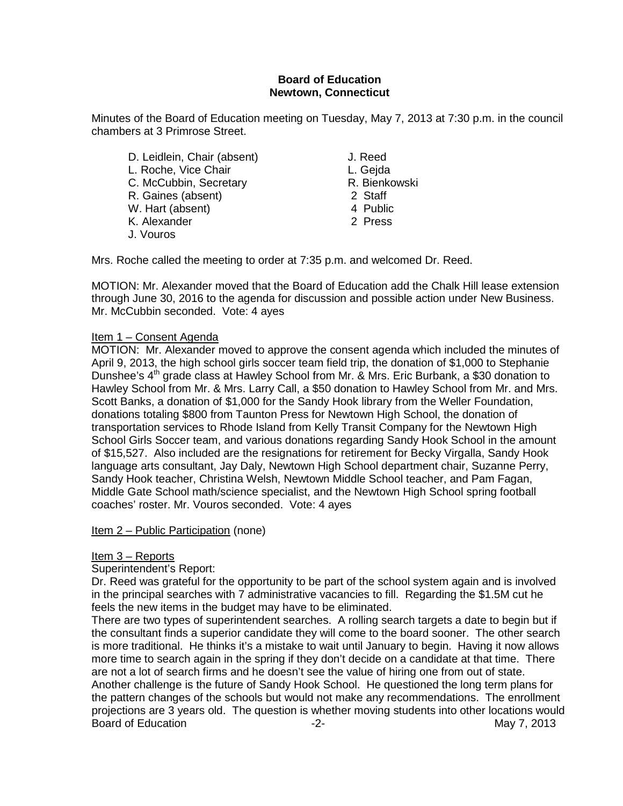### **Board of Education Newtown, Connecticut**

Minutes of the Board of Education meeting on Tuesday, May 7, 2013 at 7:30 p.m. in the council chambers at 3 Primrose Street.

D. Leidlein, Chair (absent) J. Reed L. Roche, Vice Chair **L. Gegda**<br>C. McCubbin. Secretary **L. Bienkowski** C. McCubbin, Secretary **R. Bienkowski**n, Secretary **R. Bienkowskin**, Staff et al. (2) Staff et al. (2) Staff et al. (3) Staff et al. (3) Staff et al. (3) Staff et al. (3) Staff et al. (3) Staff et al. (3) Staff et al. (3) R. Gaines (absent) 2 Staff<br>
W. Hart (absent) 3 2 Staff W. Hart (absent) K. Alexander 2 Press J. Vouros

Mrs. Roche called the meeting to order at 7:35 p.m. and welcomed Dr. Reed.

MOTION: Mr. Alexander moved that the Board of Education add the Chalk Hill lease extension through June 30, 2016 to the agenda for discussion and possible action under New Business. Mr. McCubbin seconded. Vote: 4 ayes

### Item 1 – Consent Agenda

MOTION: Mr. Alexander moved to approve the consent agenda which included the minutes of April 9, 2013, the high school girls soccer team field trip, the donation of \$1,000 to Stephanie Dunshee's 4<sup>th</sup> grade class at Hawley School from Mr. & Mrs. Eric Burbank, a \$30 donation to Hawley School from Mr. & Mrs. Larry Call, a \$50 donation to Hawley School from Mr. and Mrs. Scott Banks, a donation of \$1,000 for the Sandy Hook library from the Weller Foundation, donations totaling \$800 from Taunton Press for Newtown High School, the donation of transportation services to Rhode Island from Kelly Transit Company for the Newtown High School Girls Soccer team, and various donations regarding Sandy Hook School in the amount of \$15,527. Also included are the resignations for retirement for Becky Virgalla, Sandy Hook language arts consultant, Jay Daly, Newtown High School department chair, Suzanne Perry, Sandy Hook teacher, Christina Welsh, Newtown Middle School teacher, and Pam Fagan, Middle Gate School math/science specialist, and the Newtown High School spring football coaches' roster. Mr. Vouros seconded. Vote: 4 ayes

Item 2 – Public Participation (none)

### Item 3 – Reports

Superintendent's Report:

Dr. Reed was grateful for the opportunity to be part of the school system again and is involved in the principal searches with 7 administrative vacancies to fill. Regarding the \$1.5M cut he feels the new items in the budget may have to be eliminated.

There are two types of superintendent searches. A rolling search targets a date to begin but if the consultant finds a superior candidate they will come to the board sooner. The other search is more traditional. He thinks it's a mistake to wait until January to begin. Having it now allows more time to search again in the spring if they don't decide on a candidate at that time. There are not a lot of search firms and he doesn't see the value of hiring one from out of state. Another challenge is the future of Sandy Hook School. He questioned the long term plans for the pattern changes of the schools but would not make any recommendations. The enrollment projections are 3 years old. The question is whether moving students into other locations would Board of Education **-2-** All the set of the May 7, 2013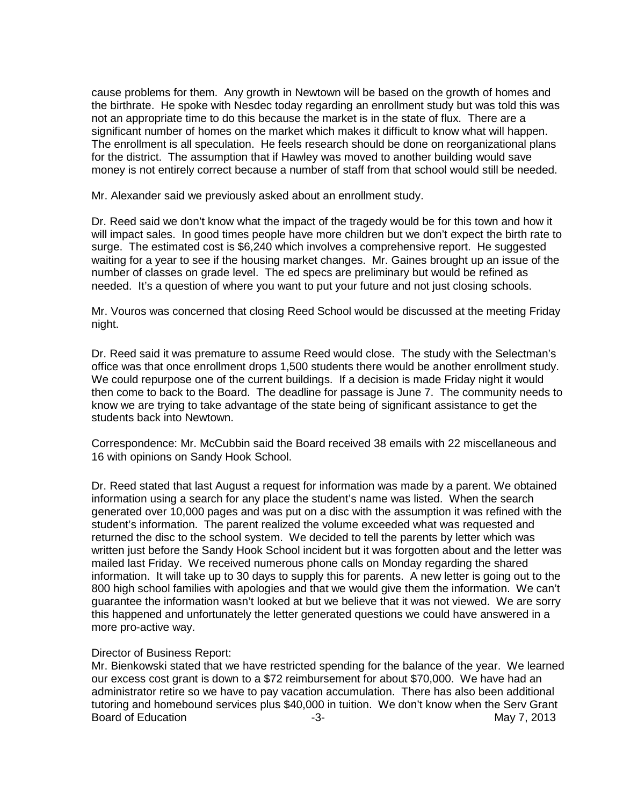cause problems for them. Any growth in Newtown will be based on the growth of homes and the birthrate. He spoke with Nesdec today regarding an enrollment study but was told this was not an appropriate time to do this because the market is in the state of flux. There are a significant number of homes on the market which makes it difficult to know what will happen. The enrollment is all speculation. He feels research should be done on reorganizational plans for the district. The assumption that if Hawley was moved to another building would save money is not entirely correct because a number of staff from that school would still be needed.

Mr. Alexander said we previously asked about an enrollment study.

Dr. Reed said we don't know what the impact of the tragedy would be for this town and how it will impact sales. In good times people have more children but we don't expect the birth rate to surge. The estimated cost is \$6,240 which involves a comprehensive report. He suggested waiting for a year to see if the housing market changes. Mr. Gaines brought up an issue of the number of classes on grade level. The ed specs are preliminary but would be refined as needed. It's a question of where you want to put your future and not just closing schools.

Mr. Vouros was concerned that closing Reed School would be discussed at the meeting Friday night.

Dr. Reed said it was premature to assume Reed would close. The study with the Selectman's office was that once enrollment drops 1,500 students there would be another enrollment study. We could repurpose one of the current buildings. If a decision is made Friday night it would then come to back to the Board. The deadline for passage is June 7. The community needs to know we are trying to take advantage of the state being of significant assistance to get the students back into Newtown.

Correspondence: Mr. McCubbin said the Board received 38 emails with 22 miscellaneous and 16 with opinions on Sandy Hook School.

Dr. Reed stated that last August a request for information was made by a parent. We obtained information using a search for any place the student's name was listed. When the search generated over 10,000 pages and was put on a disc with the assumption it was refined with the student's information. The parent realized the volume exceeded what was requested and returned the disc to the school system. We decided to tell the parents by letter which was written just before the Sandy Hook School incident but it was forgotten about and the letter was mailed last Friday. We received numerous phone calls on Monday regarding the shared information. It will take up to 30 days to supply this for parents. A new letter is going out to the 800 high school families with apologies and that we would give them the information. We can't guarantee the information wasn't looked at but we believe that it was not viewed. We are sorry this happened and unfortunately the letter generated questions we could have answered in a more pro-active way.

#### Director of Business Report:

Mr. Bienkowski stated that we have restricted spending for the balance of the year. We learned our excess cost grant is down to a \$72 reimbursement for about \$70,000. We have had an administrator retire so we have to pay vacation accumulation. There has also been additional tutoring and homebound services plus \$40,000 in tuition. We don't know when the Serv Grant Board of Education **-3-** All the state of Education of Education and the state of the state of the state of the state of the state of the state of the state of the state of the state of the state of the state of the state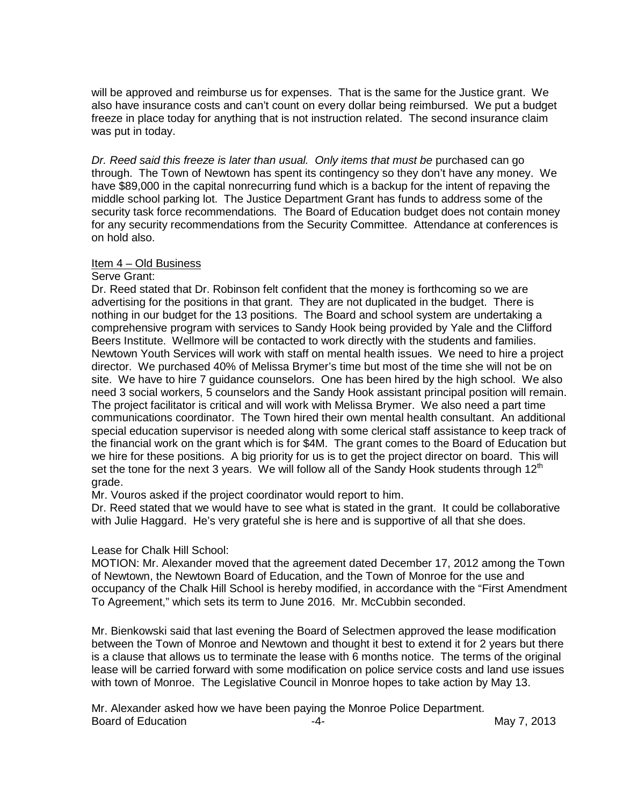will be approved and reimburse us for expenses. That is the same for the Justice grant. We also have insurance costs and can't count on every dollar being reimbursed. We put a budget freeze in place today for anything that is not instruction related. The second insurance claim was put in today.

*Dr. Reed said this freeze is later than usual. Only items that must be* purchased can go through. The Town of Newtown has spent its contingency so they don't have any money. We have \$89,000 in the capital nonrecurring fund which is a backup for the intent of repaving the middle school parking lot. The Justice Department Grant has funds to address some of the security task force recommendations. The Board of Education budget does not contain money for any security recommendations from the Security Committee. Attendance at conferences is on hold also.

#### Item 4 – Old Business

#### Serve Grant:

Dr. Reed stated that Dr. Robinson felt confident that the money is forthcoming so we are advertising for the positions in that grant. They are not duplicated in the budget. There is nothing in our budget for the 13 positions. The Board and school system are undertaking a comprehensive program with services to Sandy Hook being provided by Yale and the Clifford Beers Institute. Wellmore will be contacted to work directly with the students and families. Newtown Youth Services will work with staff on mental health issues. We need to hire a project director. We purchased 40% of Melissa Brymer's time but most of the time she will not be on site. We have to hire 7 guidance counselors. One has been hired by the high school. We also need 3 social workers, 5 counselors and the Sandy Hook assistant principal position will remain. The project facilitator is critical and will work with Melissa Brymer. We also need a part time communications coordinator. The Town hired their own mental health consultant. An additional special education supervisor is needed along with some clerical staff assistance to keep track of the financial work on the grant which is for \$4M. The grant comes to the Board of Education but we hire for these positions. A big priority for us is to get the project director on board. This will set the tone for the next 3 years. We will follow all of the Sandy Hook students through  $12<sup>th</sup>$ grade.

Mr. Vouros asked if the project coordinator would report to him.

Dr. Reed stated that we would have to see what is stated in the grant. It could be collaborative with Julie Haggard. He's very grateful she is here and is supportive of all that she does.

### Lease for Chalk Hill School:

MOTION: Mr. Alexander moved that the agreement dated December 17, 2012 among the Town of Newtown, the Newtown Board of Education, and the Town of Monroe for the use and occupancy of the Chalk Hill School is hereby modified, in accordance with the "First Amendment To Agreement," which sets its term to June 2016. Mr. McCubbin seconded.

Mr. Bienkowski said that last evening the Board of Selectmen approved the lease modification between the Town of Monroe and Newtown and thought it best to extend it for 2 years but there is a clause that allows us to terminate the lease with 6 months notice. The terms of the original lease will be carried forward with some modification on police service costs and land use issues with town of Monroe. The Legislative Council in Monroe hopes to take action by May 13.

Mr. Alexander asked how we have been paying the Monroe Police Department. Board of Education **-4-** All the set of the May 7, 2013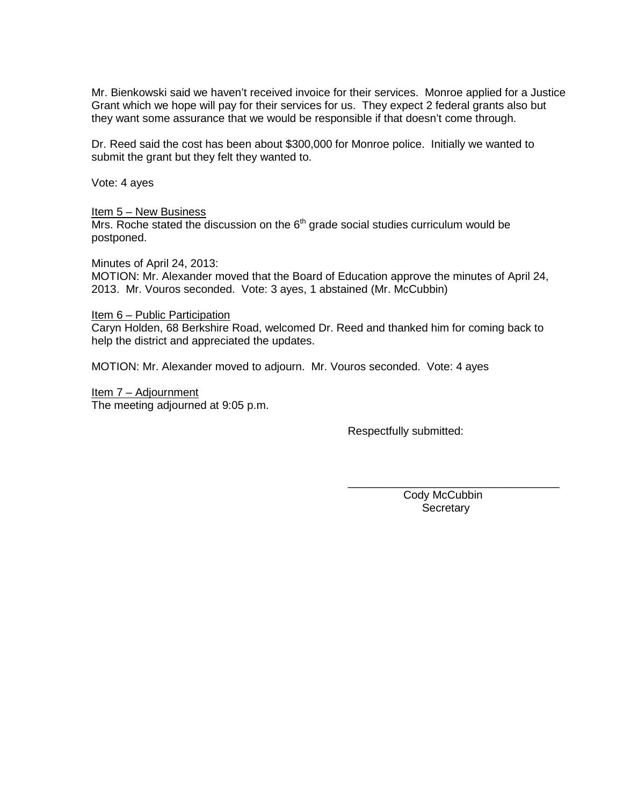Mr. Bienkowski said we haven't received invoice for their services. Monroe applied for a Justice Grant which we hope will pay for their services for us. They expect 2 federal grants also but they want some assurance that we would be responsible if that doesn't come through.

Dr. Reed said the cost has been about \$300,000 for Monroe police. Initially we wanted to submit the grant but they felt they wanted to.

Vote: 4 ayes

#### Item 5 – New Business

 $Mrs$ . Roche stated the discussion on the  $6<sup>th</sup>$  grade social studies curriculum would be postponed.

Minutes of April 24, 2013:

MOTION: Mr. Alexander moved that the Board of Education approve the minutes of April 24, 2013. Mr. Vouros seconded. Vote: 3 ayes, 1 abstained (Mr. McCubbin)

#### Item 6 – Public Participation

Caryn Holden, 68 Berkshire Road, welcomed Dr. Reed and thanked him for coming back to help the district and appreciated the updates.

MOTION: Mr. Alexander moved to adjourn. Mr. Vouros seconded. Vote: 4 ayes

Item 7 – Adjournment The meeting adjourned at 9:05 p.m.

Respectfully submitted:

 Cody McCubbin **Secretary** 

\_\_\_\_\_\_\_\_\_\_\_\_\_\_\_\_\_\_\_\_\_\_\_\_\_\_\_\_\_\_\_\_\_\_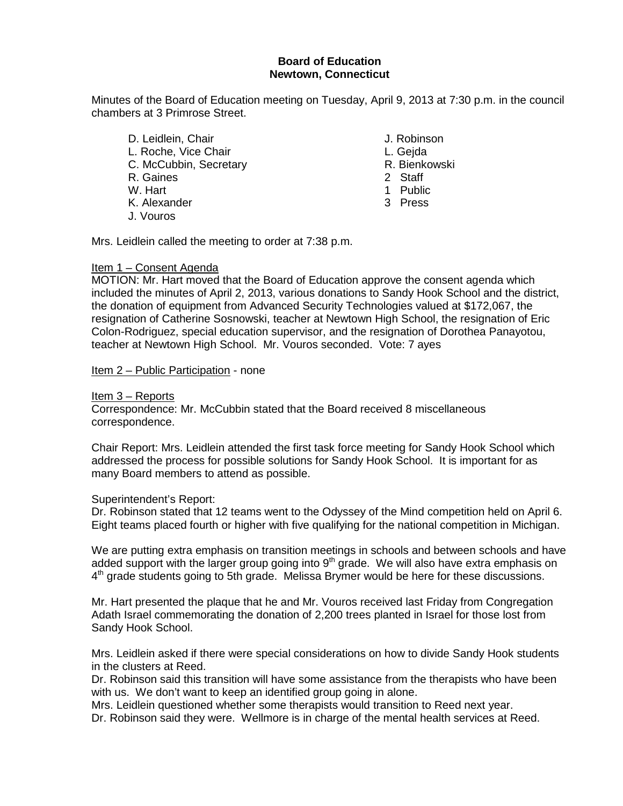## **Board of Education Newtown, Connecticut**

Minutes of the Board of Education meeting on Tuesday, April 9, 2013 at 7:30 p.m. in the council chambers at 3 Primrose Street.

- D. Leidlein, Chair **J. Robinson** L. Roche, Vice Chair (E. Chair L. Gejda L. Gejda L. Geisenberg)<br>C. McCubbin, Secretary (E. C. Bienkowski C. McCubbin, Secretary **R. Bienkowski**n, Secretary **R. Bienkowskin**, Staff (R. Bienkowskin, 2001) R. Gaines<br>W. Hart K. Alexander J. Vouros
	-
	-
	-
	-
	- 1 Public<br>3 Press
	-

Mrs. Leidlein called the meeting to order at 7:38 p.m.

#### Item 1 – Consent Agenda

MOTION: Mr. Hart moved that the Board of Education approve the consent agenda which included the minutes of April 2, 2013, various donations to Sandy Hook School and the district, the donation of equipment from Advanced Security Technologies valued at \$172,067, the resignation of Catherine Sosnowski, teacher at Newtown High School, the resignation of Eric Colon-Rodriguez, special education supervisor, and the resignation of Dorothea Panayotou, teacher at Newtown High School. Mr. Vouros seconded. Vote: 7 ayes

Item 2 – Public Participation - none

#### Item 3 – Reports

Correspondence: Mr. McCubbin stated that the Board received 8 miscellaneous correspondence.

Chair Report: Mrs. Leidlein attended the first task force meeting for Sandy Hook School which addressed the process for possible solutions for Sandy Hook School. It is important for as many Board members to attend as possible.

#### Superintendent's Report:

Dr. Robinson stated that 12 teams went to the Odyssey of the Mind competition held on April 6. Eight teams placed fourth or higher with five qualifying for the national competition in Michigan.

We are putting extra emphasis on transition meetings in schools and between schools and have added support with the larger group going into  $9<sup>th</sup>$  grade. We will also have extra emphasis on 4<sup>th</sup> grade students going to 5th grade. Melissa Brymer would be here for these discussions.

Mr. Hart presented the plaque that he and Mr. Vouros received last Friday from Congregation Adath Israel commemorating the donation of 2,200 trees planted in Israel for those lost from Sandy Hook School.

Mrs. Leidlein asked if there were special considerations on how to divide Sandy Hook students in the clusters at Reed.

Dr. Robinson said this transition will have some assistance from the therapists who have been with us. We don't want to keep an identified group going in alone.

Mrs. Leidlein questioned whether some therapists would transition to Reed next year. Dr. Robinson said they were. Wellmore is in charge of the mental health services at Reed.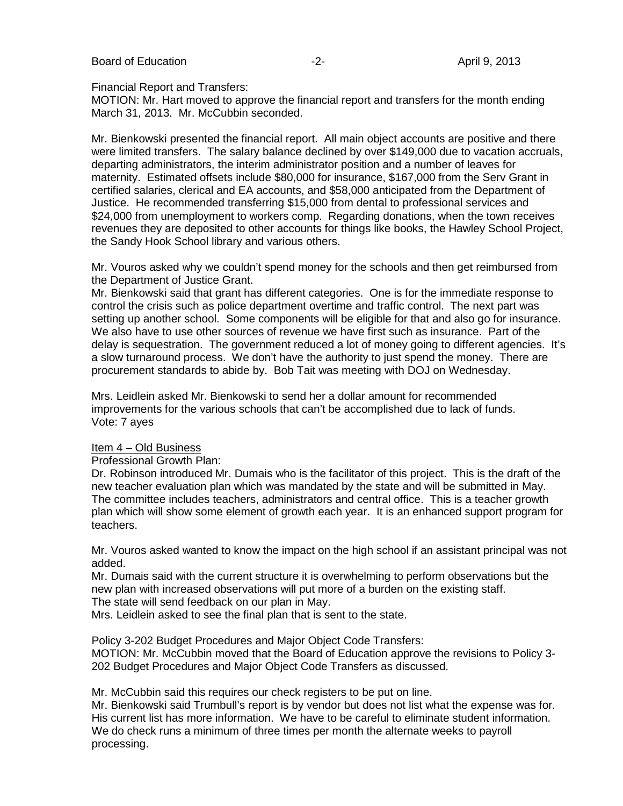Board of Education **-2-** April 9, 2013

Financial Report and Transfers:

MOTION: Mr. Hart moved to approve the financial report and transfers for the month ending March 31, 2013. Mr. McCubbin seconded.

Mr. Bienkowski presented the financial report. All main object accounts are positive and there were limited transfers. The salary balance declined by over \$149,000 due to vacation accruals, departing administrators, the interim administrator position and a number of leaves for maternity. Estimated offsets include \$80,000 for insurance, \$167,000 from the Serv Grant in certified salaries, clerical and EA accounts, and \$58,000 anticipated from the Department of Justice. He recommended transferring \$15,000 from dental to professional services and \$24,000 from unemployment to workers comp. Regarding donations, when the town receives revenues they are deposited to other accounts for things like books, the Hawley School Project, the Sandy Hook School library and various others.

Mr. Vouros asked why we couldn't spend money for the schools and then get reimbursed from the Department of Justice Grant.

Mr. Bienkowski said that grant has different categories. One is for the immediate response to control the crisis such as police department overtime and traffic control. The next part was setting up another school. Some components will be eligible for that and also go for insurance. We also have to use other sources of revenue we have first such as insurance. Part of the delay is sequestration. The government reduced a lot of money going to different agencies. It's a slow turnaround process. We don't have the authority to just spend the money. There are procurement standards to abide by. Bob Tait was meeting with DOJ on Wednesday.

Mrs. Leidlein asked Mr. Bienkowski to send her a dollar amount for recommended improvements for the various schools that can't be accomplished due to lack of funds. Vote: 7 ayes

#### Item 4 – Old Business

Professional Growth Plan:

Dr. Robinson introduced Mr. Dumais who is the facilitator of this project. This is the draft of the new teacher evaluation plan which was mandated by the state and will be submitted in May. The committee includes teachers, administrators and central office. This is a teacher growth plan which will show some element of growth each year. It is an enhanced support program for teachers.

Mr. Vouros asked wanted to know the impact on the high school if an assistant principal was not added.

Mr. Dumais said with the current structure it is overwhelming to perform observations but the new plan with increased observations will put more of a burden on the existing staff.

The state will send feedback on our plan in May.

Mrs. Leidlein asked to see the final plan that is sent to the state.

Policy 3-202 Budget Procedures and Major Object Code Transfers:

MOTION: Mr. McCubbin moved that the Board of Education approve the revisions to Policy 3- 202 Budget Procedures and Major Object Code Transfers as discussed.

Mr. McCubbin said this requires our check registers to be put on line.

Mr. Bienkowski said Trumbull's report is by vendor but does not list what the expense was for. His current list has more information. We have to be careful to eliminate student information. We do check runs a minimum of three times per month the alternate weeks to payroll processing.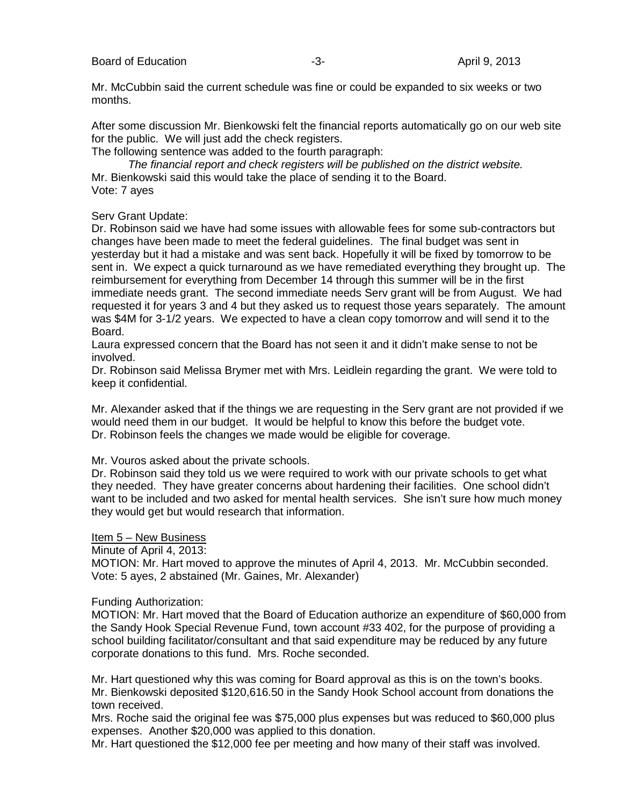Mr. McCubbin said the current schedule was fine or could be expanded to six weeks or two months.

After some discussion Mr. Bienkowski felt the financial reports automatically go on our web site for the public. We will just add the check registers.

The following sentence was added to the fourth paragraph:

*The financial report and check registers will be published on the district website.*  Mr. Bienkowski said this would take the place of sending it to the Board. Vote: 7 ayes

Serv Grant Update:

Dr. Robinson said we have had some issues with allowable fees for some sub-contractors but changes have been made to meet the federal guidelines. The final budget was sent in yesterday but it had a mistake and was sent back. Hopefully it will be fixed by tomorrow to be sent in. We expect a quick turnaround as we have remediated everything they brought up. The reimbursement for everything from December 14 through this summer will be in the first immediate needs grant. The second immediate needs Serv grant will be from August. We had requested it for years 3 and 4 but they asked us to request those years separately. The amount was \$4M for 3-1/2 years. We expected to have a clean copy tomorrow and will send it to the Board.

Laura expressed concern that the Board has not seen it and it didn't make sense to not be involved.

Dr. Robinson said Melissa Brymer met with Mrs. Leidlein regarding the grant. We were told to keep it confidential.

Mr. Alexander asked that if the things we are requesting in the Serv grant are not provided if we would need them in our budget. It would be helpful to know this before the budget vote. Dr. Robinson feels the changes we made would be eligible for coverage.

Mr. Vouros asked about the private schools.

Dr. Robinson said they told us we were required to work with our private schools to get what they needed. They have greater concerns about hardening their facilities. One school didn't want to be included and two asked for mental health services. She isn't sure how much money they would get but would research that information.

#### Item 5 – New Business

Minute of April 4, 2013:

MOTION: Mr. Hart moved to approve the minutes of April 4, 2013. Mr. McCubbin seconded. Vote: 5 ayes, 2 abstained (Mr. Gaines, Mr. Alexander)

#### Funding Authorization:

MOTION: Mr. Hart moved that the Board of Education authorize an expenditure of \$60,000 from the Sandy Hook Special Revenue Fund, town account #33 402, for the purpose of providing a school building facilitator/consultant and that said expenditure may be reduced by any future corporate donations to this fund. Mrs. Roche seconded.

Mr. Hart questioned why this was coming for Board approval as this is on the town's books. Mr. Bienkowski deposited \$120,616.50 in the Sandy Hook School account from donations the town received.

Mrs. Roche said the original fee was \$75,000 plus expenses but was reduced to \$60,000 plus expenses. Another \$20,000 was applied to this donation.

Mr. Hart questioned the \$12,000 fee per meeting and how many of their staff was involved.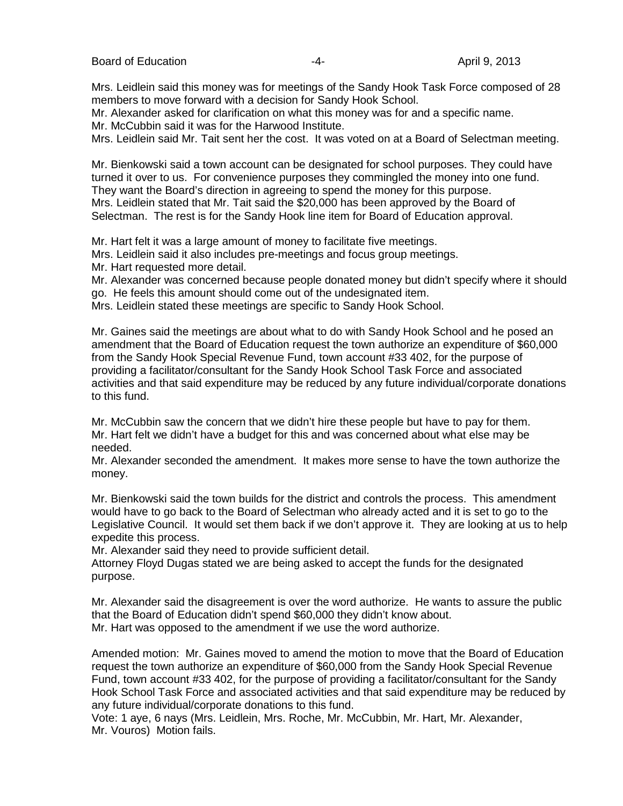Mrs. Leidlein said this money was for meetings of the Sandy Hook Task Force composed of 28 members to move forward with a decision for Sandy Hook School.

Mr. Alexander asked for clarification on what this money was for and a specific name. Mr. McCubbin said it was for the Harwood Institute.

Mrs. Leidlein said Mr. Tait sent her the cost. It was voted on at a Board of Selectman meeting.

Mr. Bienkowski said a town account can be designated for school purposes. They could have turned it over to us. For convenience purposes they commingled the money into one fund. They want the Board's direction in agreeing to spend the money for this purpose. Mrs. Leidlein stated that Mr. Tait said the \$20,000 has been approved by the Board of Selectman. The rest is for the Sandy Hook line item for Board of Education approval.

Mr. Hart felt it was a large amount of money to facilitate five meetings.

Mrs. Leidlein said it also includes pre-meetings and focus group meetings.

Mr. Hart requested more detail.

Mr. Alexander was concerned because people donated money but didn't specify where it should go. He feels this amount should come out of the undesignated item.

Mrs. Leidlein stated these meetings are specific to Sandy Hook School.

Mr. Gaines said the meetings are about what to do with Sandy Hook School and he posed an amendment that the Board of Education request the town authorize an expenditure of \$60,000 from the Sandy Hook Special Revenue Fund, town account #33 402, for the purpose of providing a facilitator/consultant for the Sandy Hook School Task Force and associated activities and that said expenditure may be reduced by any future individual/corporate donations to this fund.

Mr. McCubbin saw the concern that we didn't hire these people but have to pay for them. Mr. Hart felt we didn't have a budget for this and was concerned about what else may be needed.

Mr. Alexander seconded the amendment. It makes more sense to have the town authorize the money.

Mr. Bienkowski said the town builds for the district and controls the process. This amendment would have to go back to the Board of Selectman who already acted and it is set to go to the Legislative Council. It would set them back if we don't approve it. They are looking at us to help expedite this process.

Mr. Alexander said they need to provide sufficient detail.

Attorney Floyd Dugas stated we are being asked to accept the funds for the designated purpose.

Mr. Alexander said the disagreement is over the word authorize. He wants to assure the public that the Board of Education didn't spend \$60,000 they didn't know about. Mr. Hart was opposed to the amendment if we use the word authorize.

Amended motion: Mr. Gaines moved to amend the motion to move that the Board of Education request the town authorize an expenditure of \$60,000 from the Sandy Hook Special Revenue Fund, town account #33 402, for the purpose of providing a facilitator/consultant for the Sandy Hook School Task Force and associated activities and that said expenditure may be reduced by any future individual/corporate donations to this fund.

Vote: 1 aye, 6 nays (Mrs. Leidlein, Mrs. Roche, Mr. McCubbin, Mr. Hart, Mr. Alexander, Mr. Vouros) Motion fails.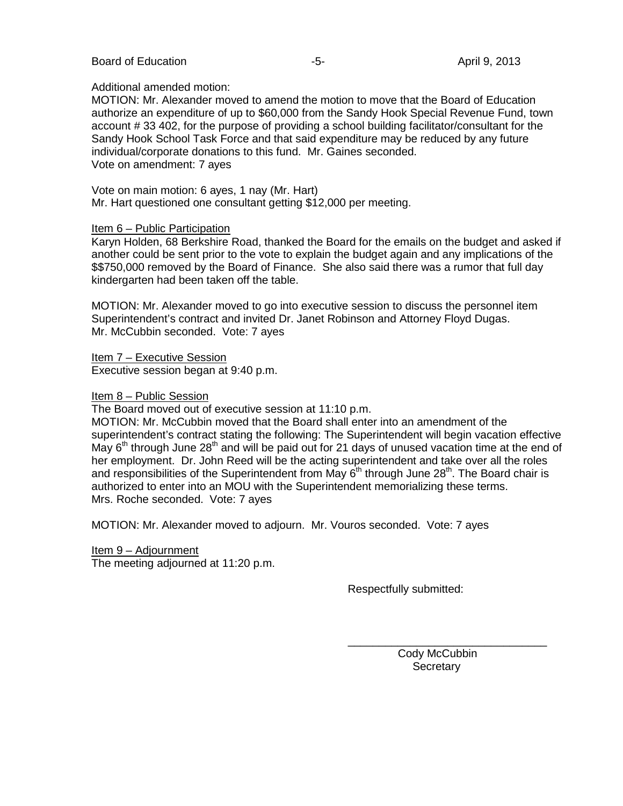#### Board of Education **-5-** April 9, 2013

#### Additional amended motion:

MOTION: Mr. Alexander moved to amend the motion to move that the Board of Education authorize an expenditure of up to \$60,000 from the Sandy Hook Special Revenue Fund, town account # 33 402, for the purpose of providing a school building facilitator/consultant for the Sandy Hook School Task Force and that said expenditure may be reduced by any future individual/corporate donations to this fund. Mr. Gaines seconded. Vote on amendment: 7 ayes

Vote on main motion: 6 ayes, 1 nay (Mr. Hart) Mr. Hart questioned one consultant getting \$12,000 per meeting.

#### Item 6 – Public Participation

Karyn Holden, 68 Berkshire Road, thanked the Board for the emails on the budget and asked if another could be sent prior to the vote to explain the budget again and any implications of the \$\$750,000 removed by the Board of Finance. She also said there was a rumor that full day kindergarten had been taken off the table.

MOTION: Mr. Alexander moved to go into executive session to discuss the personnel item Superintendent's contract and invited Dr. Janet Robinson and Attorney Floyd Dugas. Mr. McCubbin seconded. Vote: 7 ayes

Item 7 – Executive Session Executive session began at 9:40 p.m.

#### Item 8 – Public Session

The Board moved out of executive session at 11:10 p.m.

MOTION: Mr. McCubbin moved that the Board shall enter into an amendment of the superintendent's contract stating the following: The Superintendent will begin vacation effective May  $6<sup>th</sup>$  through June 28<sup>th</sup> and will be paid out for 21 days of unused vacation time at the end of her employment. Dr. John Reed will be the acting superintendent and take over all the roles and responsibilities of the Superintendent from May  $6<sup>th</sup>$  through June 28<sup>th</sup>. The Board chair is authorized to enter into an MOU with the Superintendent memorializing these terms. Mrs. Roche seconded. Vote: 7 ayes

MOTION: Mr. Alexander moved to adjourn. Mr. Vouros seconded. Vote: 7 ayes

Item 9 – Adjournment The meeting adjourned at 11:20 p.m.

Respectfully submitted:

 Cody McCubbin **Secretary** 

\_\_\_\_\_\_\_\_\_\_\_\_\_\_\_\_\_\_\_\_\_\_\_\_\_\_\_\_\_\_\_\_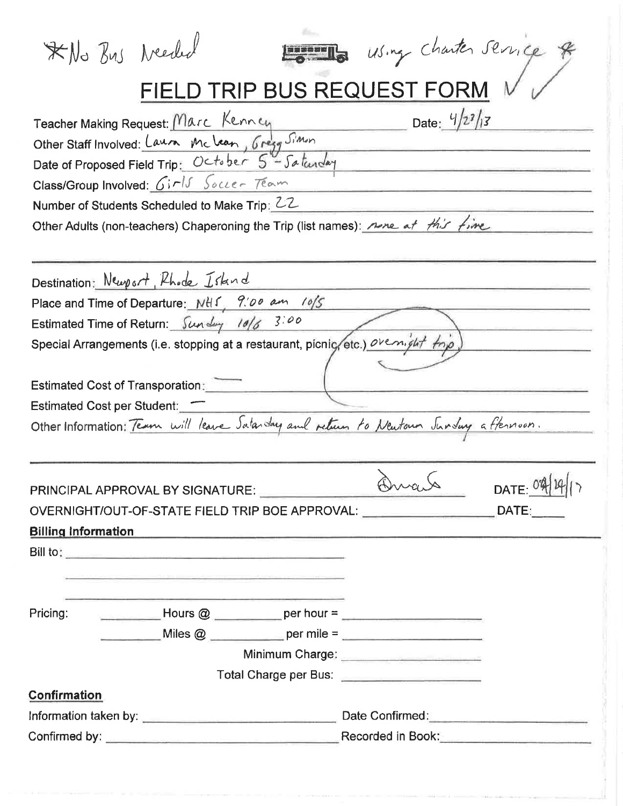| *No Bus Needed                             |                                                                                                                        |  | Home using charter service                                                                                                                                                                                                           |              |
|--------------------------------------------|------------------------------------------------------------------------------------------------------------------------|--|--------------------------------------------------------------------------------------------------------------------------------------------------------------------------------------------------------------------------------------|--------------|
|                                            |                                                                                                                        |  | FIELD TRIP BUS REQUEST FORM                                                                                                                                                                                                          |              |
|                                            | Teacher Making Request: Marc Kennen                                                                                    |  | Date: $4/2^7/3$                                                                                                                                                                                                                      |              |
|                                            | Other Staff Involved: Laura Mclean, Gregg Simon                                                                        |  |                                                                                                                                                                                                                                      |              |
|                                            | Date of Proposed Field Trip: October 5"- Saturday                                                                      |  |                                                                                                                                                                                                                                      |              |
|                                            | Class/Group Involved: Girls Soccer Team                                                                                |  |                                                                                                                                                                                                                                      |              |
|                                            | Number of Students Scheduled to Make Trip: 22                                                                          |  |                                                                                                                                                                                                                                      |              |
|                                            | Other Adults (non-teachers) Chaperoning the Trip (list names): <u>none</u> at this fine                                |  |                                                                                                                                                                                                                                      |              |
|                                            |                                                                                                                        |  |                                                                                                                                                                                                                                      |              |
|                                            | Destination: Newport, Phode Island                                                                                     |  |                                                                                                                                                                                                                                      |              |
|                                            | Place and Time of Departure: NHS, 9:00 am 10/5                                                                         |  |                                                                                                                                                                                                                                      |              |
| Estimated Time of Return: Sunday 10/6 3:00 |                                                                                                                        |  |                                                                                                                                                                                                                                      |              |
|                                            | Special Arrangements (i.e. stopping at a restaurant, picnic/etc.) ovenight top                                         |  |                                                                                                                                                                                                                                      |              |
|                                            |                                                                                                                        |  |                                                                                                                                                                                                                                      |              |
| <b>Estimated Cost of Transporation:</b>    |                                                                                                                        |  |                                                                                                                                                                                                                                      |              |
| Estimated Cost per Student:                |                                                                                                                        |  |                                                                                                                                                                                                                                      |              |
|                                            | Other Information: Team will leave Satarday and return to Newtown Junday a flernoon.                                   |  |                                                                                                                                                                                                                                      |              |
|                                            |                                                                                                                        |  |                                                                                                                                                                                                                                      |              |
|                                            |                                                                                                                        |  |                                                                                                                                                                                                                                      |              |
|                                            | PRINCIPAL APPROVAL BY SIGNATURE:                                                                                       |  |                                                                                                                                                                                                                                      | DATE: $0414$ |
|                                            | OVERNIGHT/OUT-OF-STATE FIELD TRIP BOE APPROVAL: DATE: DATE:                                                            |  |                                                                                                                                                                                                                                      |              |
|                                            | <u>Billing Information</u>                                                                                             |  |                                                                                                                                                                                                                                      |              |
|                                            |                                                                                                                        |  |                                                                                                                                                                                                                                      |              |
|                                            | <u> 1980 - Jan Barristo, martin de la contenentación de la contenentación de la contenentación de la contenentació</u> |  |                                                                                                                                                                                                                                      |              |
|                                            |                                                                                                                        |  |                                                                                                                                                                                                                                      |              |
|                                            | Pricing: $\qquad \qquad$ Hours @ ___________ per hour = ________________________________                               |  |                                                                                                                                                                                                                                      |              |
|                                            |                                                                                                                        |  |                                                                                                                                                                                                                                      |              |
|                                            |                                                                                                                        |  | Minimum Charge: <b>Call Annual Charge</b>                                                                                                                                                                                            |              |
|                                            |                                                                                                                        |  | Total Charge per Bus: <b>Call Charge Professional Charge Professional Charge Professional Charge Professional Charge Professional Charge Professional Charge Professional Charge Professional Charge Professional Charge Profess</b> |              |
| <b>Confirmation</b>                        |                                                                                                                        |  |                                                                                                                                                                                                                                      |              |
|                                            |                                                                                                                        |  |                                                                                                                                                                                                                                      |              |
|                                            |                                                                                                                        |  |                                                                                                                                                                                                                                      |              |
|                                            |                                                                                                                        |  |                                                                                                                                                                                                                                      |              |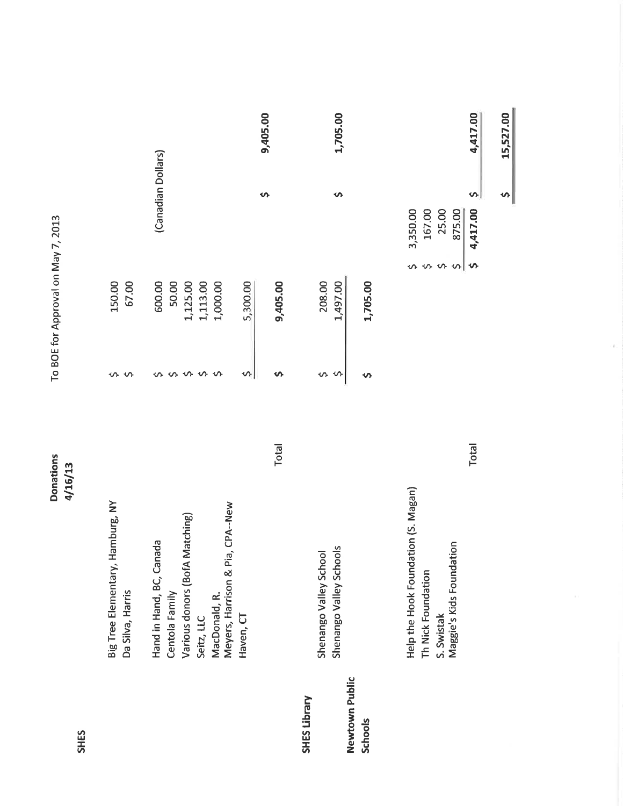| <b>SHES</b>                      | <b>Donations</b><br>4/16/13                                                                         |              |                    | To BOE for Approval on May 7, 2013            |                                                        |          |
|----------------------------------|-----------------------------------------------------------------------------------------------------|--------------|--------------------|-----------------------------------------------|--------------------------------------------------------|----------|
|                                  | Big Tree Elementary, Hamburg, NY<br>Da Silva, Harris                                                |              | ∽                  | 150.00<br>67.00                               |                                                        |          |
|                                  | Various donors (BofA Matching)<br>Hand in Hand, BC, Canada<br>Centola Family                        |              | ᠊ᡐ                 | 600.00<br>50.00<br>1,125.00                   | (Canadian Dollars)                                     |          |
|                                  | Pia, CPA--New<br>Meyers, Harrison &<br>MacDonald, R.<br>Seitz, LLC                                  |              | Ş<br>$\hat{\zeta}$ | 1,113.00<br>1,000.00                          |                                                        |          |
|                                  | Haven, CT                                                                                           | <b>Total</b> | Ş<br>n             | 5,300.00<br>9,405.00                          | ᡐ                                                      | 9,405.00 |
| SHES Library                     | Shenango Valley Schools<br>Shenango Valley School                                                   |              | Ş<br>S,            | 208.00<br>1,497.00                            | Ş                                                      | 1,705.00 |
| Newtown Public<br><b>Schools</b> |                                                                                                     |              | ᡐ                  | 1,705.00                                      |                                                        |          |
|                                  | Help the Hook Foundation (S. Magan)<br>Maggie's Kids Foundation<br>Th Nick Foundation<br>S. Swistak | <b>Total</b> |                    | $\hat{\zeta}$<br>$\mathbf{\hat{v}}$<br>$\sim$ | Ş<br>4,417.00<br>3,350.00<br>875.00<br>167.00<br>25.00 | 4,417.00 |

15,527.00

 $\frac{1}{2}$ 

 $\bar{\epsilon}$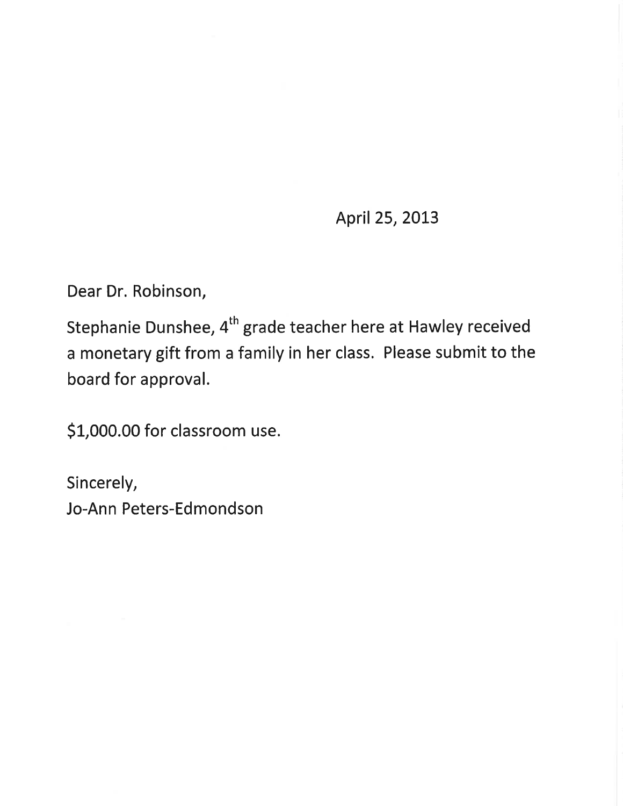April 25, 2013

Dear Dr. Robinson,

Stephanie Dunshee, 4<sup>th</sup> grade teacher here at Hawley received a monetary gift from a family in her class. Please submit to the board for approval.

\$1,000.00 for classroom use.

Sincerely, Jo-Ann Peters-Edmondson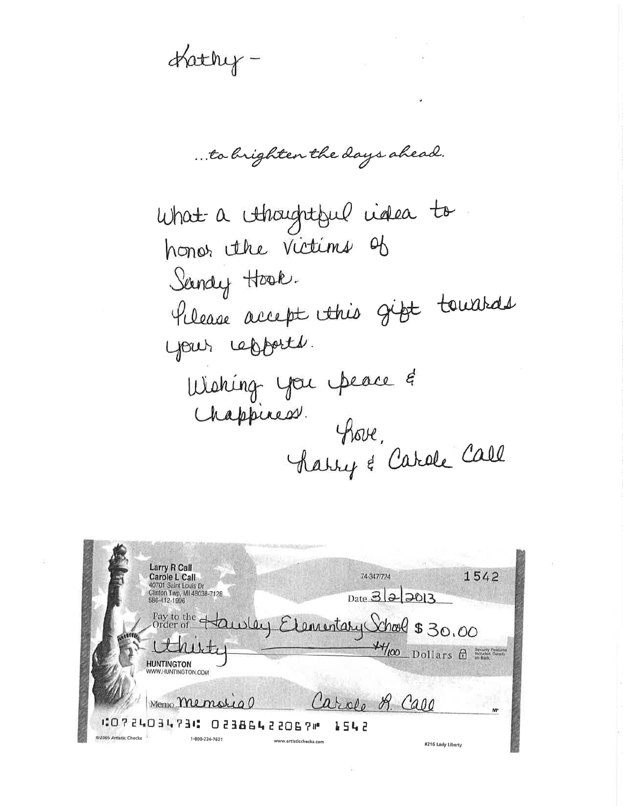Hathy-

... to brighten the days ahead.

What a Ahoughtful videa to honor the Victims of Sandy Hook. Pilease accept this gift towards your cepports. Wishing you peace &<br>Chappiness. Share fhove, Charry & Carole Call

| 74-347/724                              | 1542                                                                                                                           |
|-----------------------------------------|--------------------------------------------------------------------------------------------------------------------------------|
|                                         |                                                                                                                                |
| <b>CO72403473C O2386422067M</b><br>1542 | МP                                                                                                                             |
|                                         | $_{\text{Date}}$ $3 2 20 3$<br>$Pay to the 4duday Elementaky Chods 30.00$<br>Order of $Haxubay E$ $Haxobosf$<br>Carole R. Call |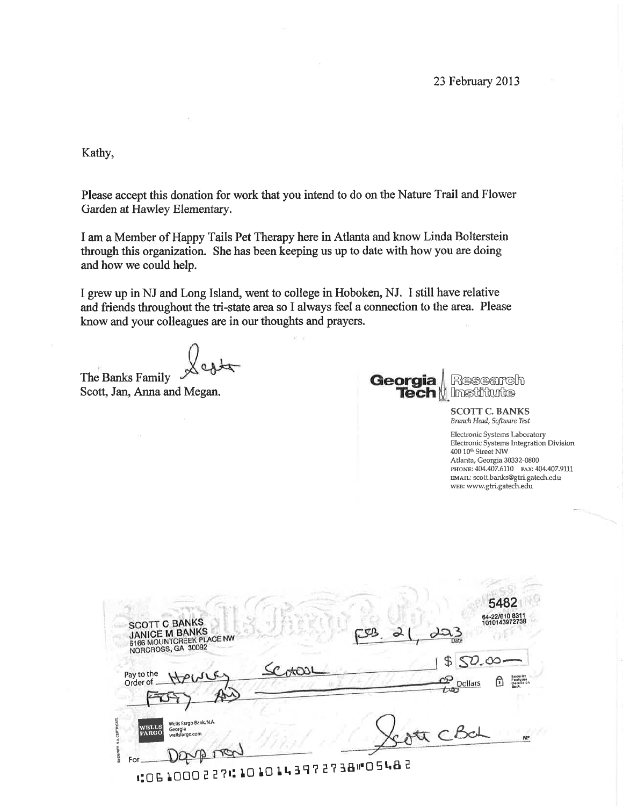Kathy,

Please accept this donation for work that you intend to do on the Nature Trail and Flower Garden at Hawley Elementary.

I am a Member of Happy Tails Pet Therapy here in Atlanta and know Linda Bolterstein through this organization. She has been keeping us up to date with how you are doing and how we could help.

I grew up in NJ and Long Island, went to college in Hoboken, NJ. I still have relative and friends throughout the tri-state area so I always feel a connection to the area. Please know and your colleagues are in our thoughts and prayers.

The Banks Family Scott, Jan, Anna and Megan.



Research V Institute

> **SCOTT C. BANKS** Branch Head, Software Test

Electronic Systems Laboratory Electronic Systems Integration Division 400 10<sup>th</sup> Street NW Atlanta, Georgia 30332-0800 PHONE: 404.407.6110 FAX: 404.407.9111 EMAIL: scott.banks@gtri.gatech.edu WEB: www.gtri.gatech.edu

| <b>SCOTT C BANKS</b><br><b>JANICE M BANKS</b><br>6166 MOUNTCREEK PLACE NW<br>NORCROSS, GA 30092                                                               | 5482<br>64-22/610 8311<br>1010143972738                                      |
|---------------------------------------------------------------------------------------------------------------------------------------------------------------|------------------------------------------------------------------------------|
| Pay to the<br>Order of                                                                                                                                        | \$50.00<br>Security<br>Features<br>Detaile on<br>Back,<br>ය<br>Dollars<br>ਜਿ |
| Wells Fargo Bank, N.A.<br><b>WELLS</b><br>Georgia<br><b>FARGO</b><br>wellsfargo.com<br>៖<br>For<br><b>COL 1000 2 2 7 1 10 10 14 3 9 7 2 7 3 8 1 0 5 4 8 2</b> | MP                                                                           |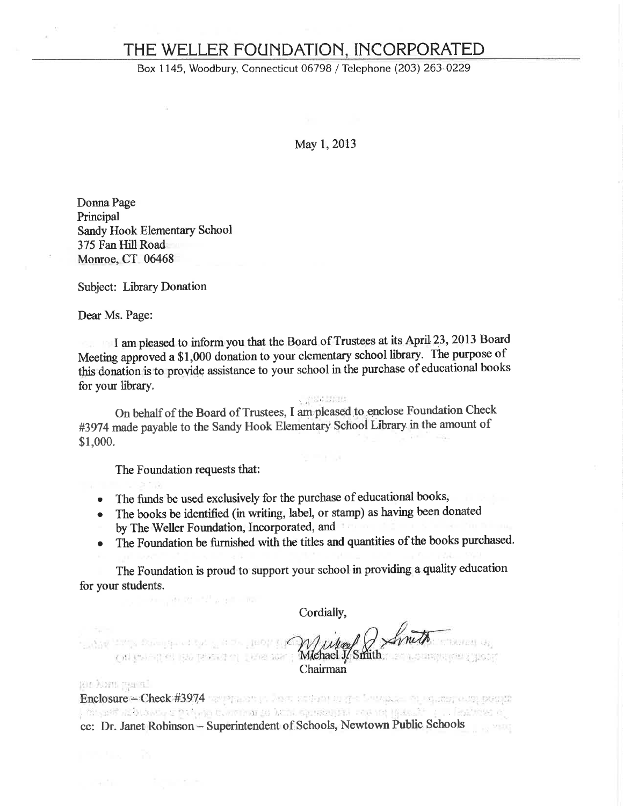# THE WELLER FOUNDATION, INCORPORATED

Box 1145, Woodbury, Connecticut 06798 / Telephone (203) 263-0229

May 1, 2013

Donna Page Principal Sandy Hook Elementary School 375 Fan Hill Road Monroe, CT 06468

**Subject: Library Donation** 

Dear Ms. Page:

I am pleased to inform you that the Board of Trustees at its April 23, 2013 Board Meeting approved a \$1,000 donation to your elementary school library. The purpose of this donation is to provide assistance to your school in the purchase of educational books for your library.

 $\sim 233.25\%$ 

On behalf of the Board of Trustees, I am pleased to enclose Foundation Check #3974 made payable to the Sandy Hook Elementary School Library in the amount of \$1,000.

The Foundation requests that:

, more than the start of a collision

- The funds be used exclusively for the purchase of educational books,  $\bullet$
- The books be identified (in writing, label, or stamp) as having been donated  $\bullet$
- by The Weller Foundation, Incorporated, and
- The Foundation be furnished with the titles and quantities of the books purchased.  $\bullet$

The Foundation is proud to support your school in providing a quality education for your students.

Cordially,

Compagne de la communicación de la media de la finita Chairman

ion kara maral

Enclosure - Check #3974 were presented as the contract of the second position , misant abboards op thang to attent at homogeneous to come (gassale ) . . Teachers of cc: Dr. Janet Robinson - Superintendent of Schools, Newtown Public Schools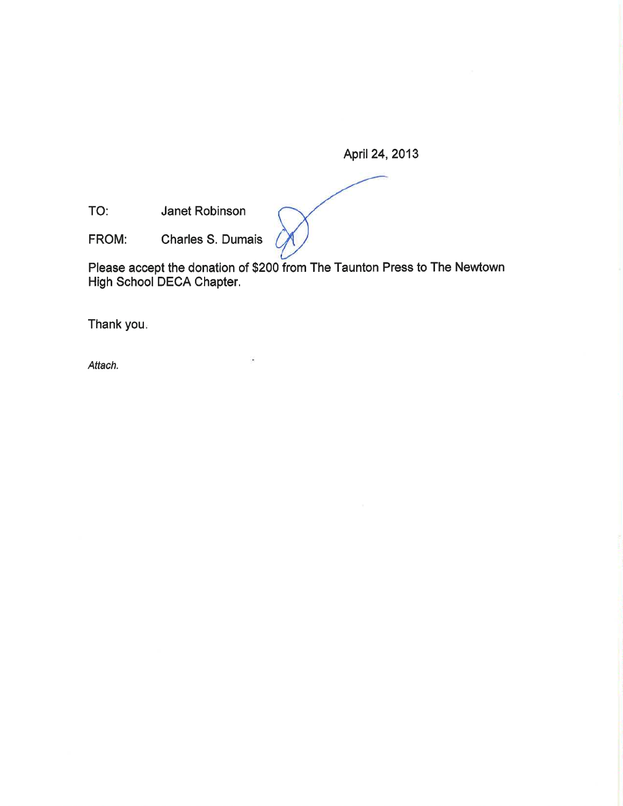April 24, 2013

Janet Robinson TO:

Charles S. Dumais FROM:

Please accept the donation of \$200 from The Taunton Press to The Newtown<br>High School DECA Chapter.

Thank you.

Attach.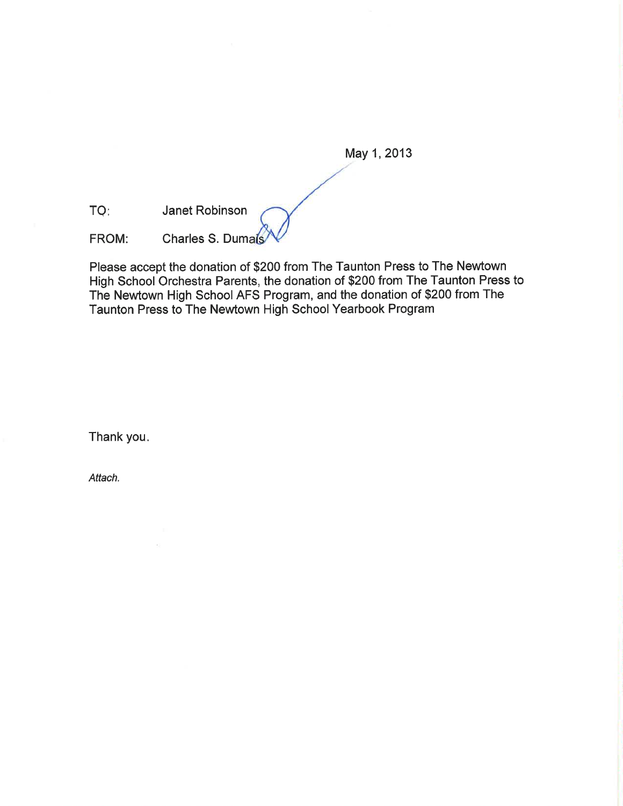May 1, 2013

TQ: Janet Robinson

Charles S. Dumals FROM:

Please accept the donation of \$200 from The Taunton Press to The Newtown High School Orchestra Parents, the donation of \$200 from The Taunton Press to The Newtown High School AFS Program, and the donation of \$200 from The Taunton Press to The Newtown High School Yearbook Program

Thank you.

Attach.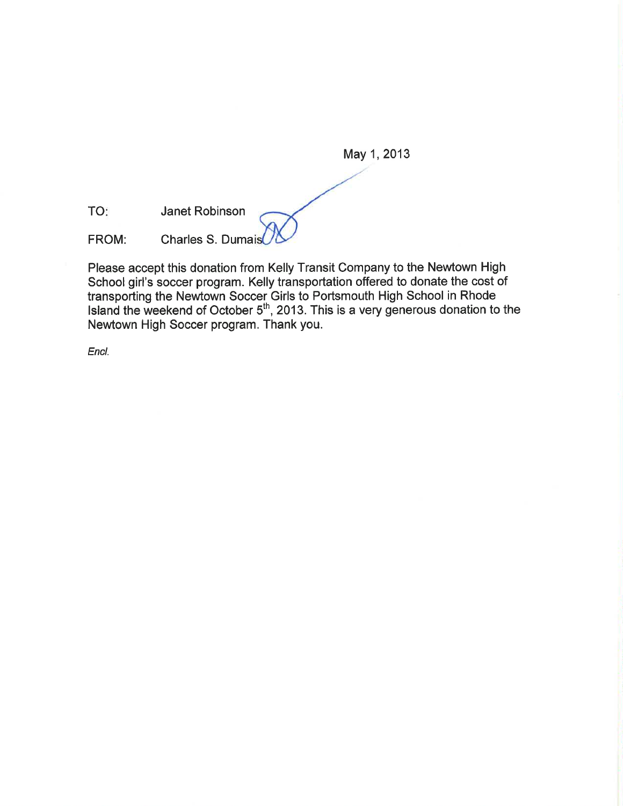May 1, 2013 Janet Robinson **Charles S. Dumais** 

Please accept this donation from Kelly Transit Company to the Newtown High School girl's soccer program. Kelly transportation offered to donate the cost of transporting the Newtown Soccer Girls to Portsmouth High School in Rhode<br>Island the weekend of October 5<sup>th</sup>, 2013. This is a very generous donation to the Newtown High Soccer program. Thank you.

Encl.

TO:

FROM: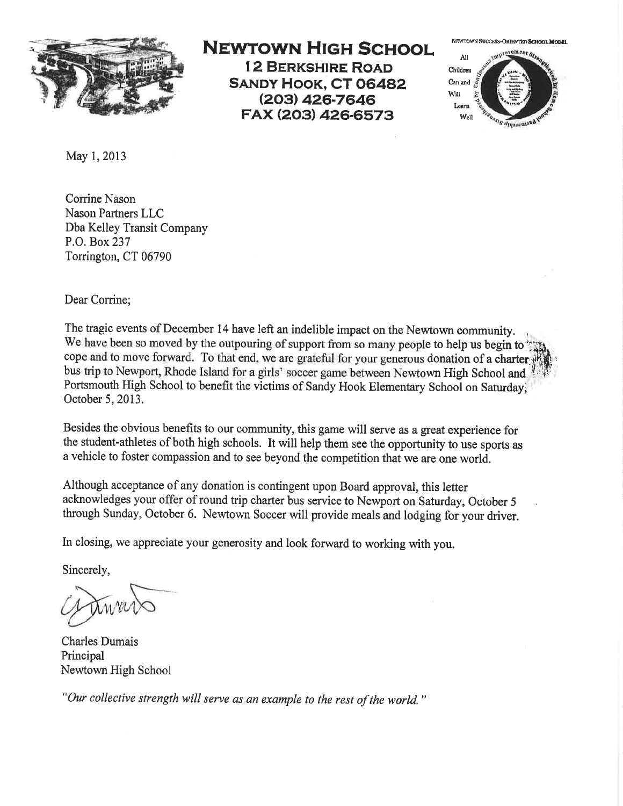

# **NEWTOWN HIGH SCHOOL**

**12 BERKSHIRE ROAD SANDY HOOK, CT 06482** (203) 426-7646 FAX (203) 426-6573

NEWTOWN SUCCESS-ORIENTED SCHOOL MODRL



May 1, 2013

Corrine Nason Nason Partners LLC Dba Kelley Transit Company P.O. Box 237 Torrington, CT 06790

Dear Corrine;

The tragic events of December 14 have left an indelible impact on the Newtown community. We have been so moved by the outpouring of support from so many people to help us begin to cope and to move forward. To that end, we are grateful for your generous donation of a charter bus trip to Newport, Rhode Island for a girls' soccer game between Newtown High School and Portsmouth High School to benefit the victims of Sandy Hook Elementary School on Saturday, October 5, 2013.

Besides the obvious benefits to our community, this game will serve as a great experience for the student-athletes of both high schools. It will help them see the opportunity to use sports as a vehicle to foster compassion and to see beyond the competition that we are one world.

Although acceptance of any donation is contingent upon Board approval, this letter acknowledges your offer of round trip charter bus service to Newport on Saturday, October 5 through Sunday, October 6. Newtown Soccer will provide meals and lodging for your driver.

In closing, we appreciate your generosity and look forward to working with you.

Sincerely,

**Charles Dumais** Principal Newtown High School

"Our collective strength will serve as an example to the rest of the world."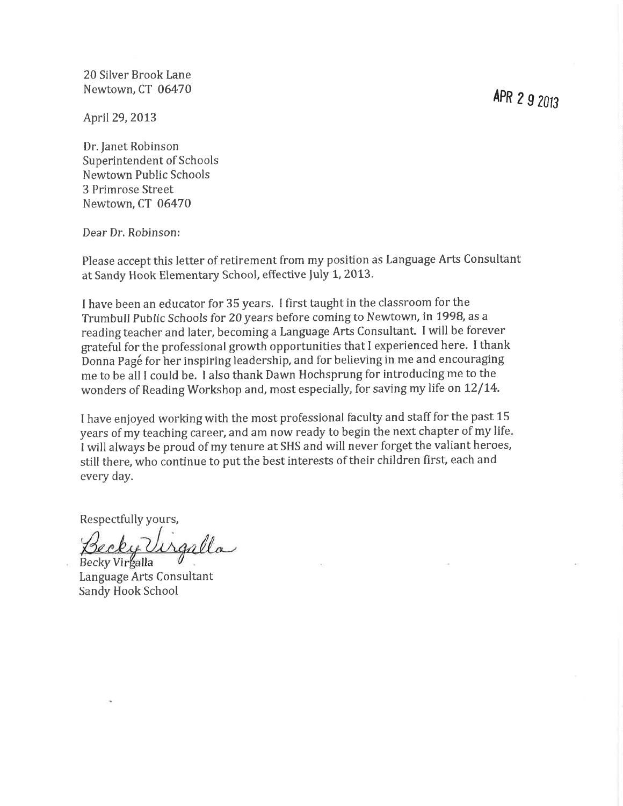20 Silver Brook Lane Newtown, CT 06470

April 29, 2013

Dr. Janet Robinson Superintendent of Schools Newtown Public Schools 3 Primrose Street Newtown. CT 06470

Dear Dr. Robinson:

Please accept this letter of retirement from my position as Language Arts Consultant at Sandy Hook Elementary School, effective July 1, 2013.

I have been an educator for 35 years. I first taught in the classroom for the Trumbull Public Schools for 20 years before coming to Newtown, in 1998, as a reading teacher and later, becoming a Language Arts Consultant. I will be forever grateful for the professional growth opportunities that I experienced here. I thank Donna Page for her inspiring leadership, and for believing in me and encouraging me to be all I could be. I also thank Dawn Hochsprung for introducing me to the wonders of Reading Workshop and, most especially, for saving my life on 12/14.

I have enjoyed working with the most professional faculty and staff for the past 15 years of my teaching career, and am now ready to begin the next chapter of my life. I will always be proud of my tenure at SHS and will never forget the valiant heroes, still there, who continue to put the best interests of their children first, each and every day.

Respectfully yours,

Secky Urgalla Becky Virgalla

Language Arts Consultant Sandy Hook School

APR 2 9 2013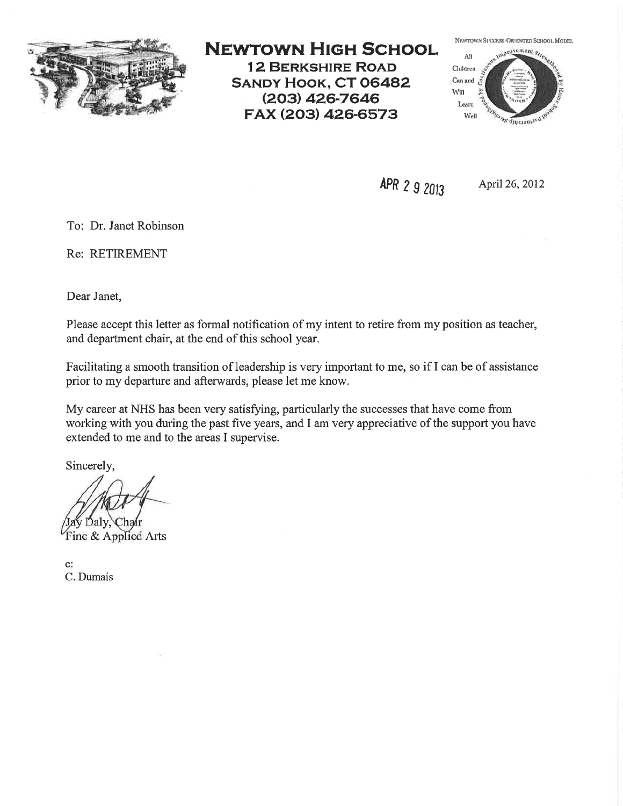

# **NEWTOWN HIGH SCHOOL**

**12 BERKSHIRE ROAD SANDY HOOK, CT 06482** (203) 426-7646 FAX (203) 426-6573

NEWTOWN SUCCESS-ORIENTED SCHOOL MODEL



APR 2 9 2013

April 26, 2012

To: Dr. Janet Robinson

Re: RETIREMENT

Dear Janet,

Please accept this letter as formal notification of my intent to retire from my position as teacher, and department chair, at the end of this school year.

Facilitating a smooth transition of leadership is very important to me, so if I can be of assistance prior to my departure and afterwards, please let me know.

My career at NHS has been very satisfying, particularly the successes that have come from working with you during the past five years, and I am very appreciative of the support you have extended to me and to the areas I supervise.

Sincerely,

Dalv. Chair

Fine & Applied Arts

 $\mathbf{c}$ : C. Dumais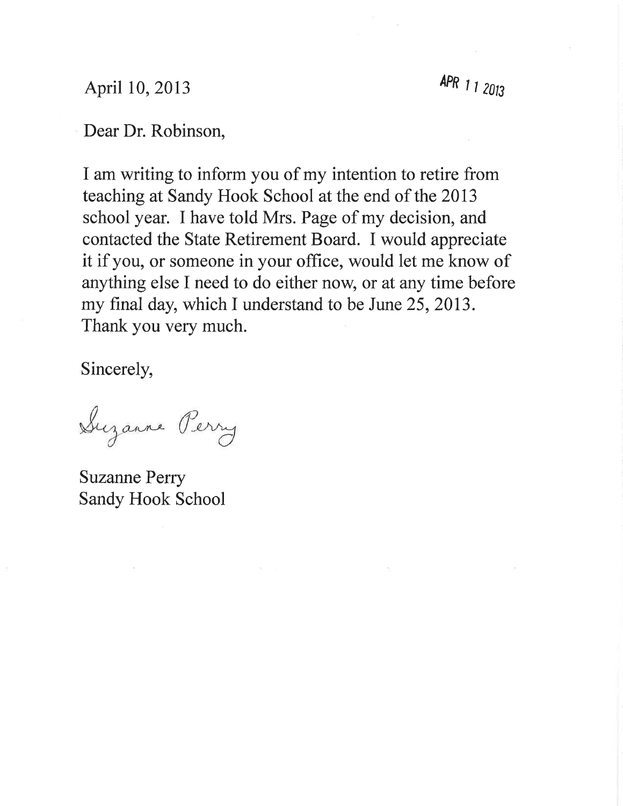# April 10, 2013

APR 1 1 2013

# Dear Dr. Robinson,

I am writing to inform you of my intention to retire from teaching at Sandy Hook School at the end of the 2013 school year. I have told Mrs. Page of my decision, and contacted the State Retirement Board. I would appreciate it if you, or someone in your office, would let me know of anything else I need to do either now, or at any time before my final day, which I understand to be June 25, 2013. Thank you very much.

Sincerely,

Suzanne Perry

**Suzanne Perry Sandy Hook School**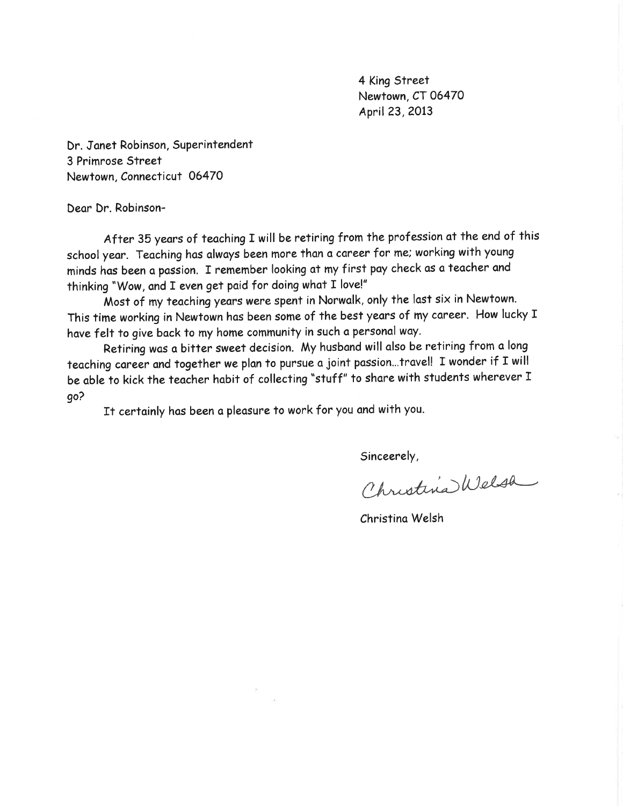4 King Street Newtown, CT 06470 April 23, 2013

Dr. Janet Robinson, Superintendent 3 Primrose Street Newtown, Connecticut 06470

Dear Dr. Robinson-

After 35 years of teaching I will be retiring from the profession at the end of this school year. Teaching has always been more than a career for me; working with young minds has been a passion. I remember looking at my first pay check as a teacher and thinking "Wow, and I even get paid for doing what I love!"

Most of my teaching years were spent in Norwalk, only the last six in Newtown. This time working in Newtown has been some of the best years of my career. How lucky I have felt to give back to my home community in such a personal way.

Retiring was a bitter sweet decision. My husband will also be retiring from a long teaching career and together we plan to pursue a joint passion...travel! I wonder if I will be able to kick the teacher habit of collecting "stuff" to share with students wherever I qo?

It certainly has been a pleasure to work for you and with you.

Sinceerely,

Christina Welsh

Christina Welsh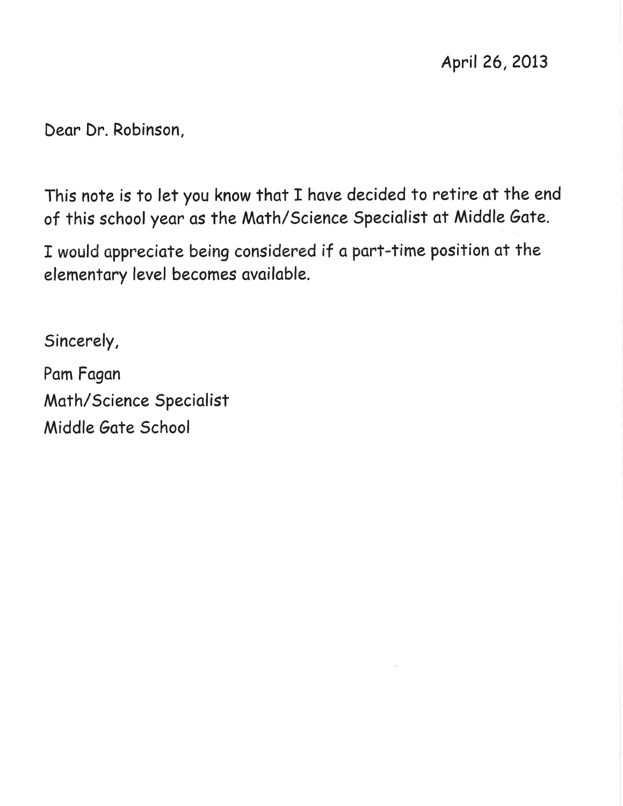Dear Dr. Robinson,

This note is to let you know that I have decided to retire at the end of this school year as the Math/Science Specialist at Middle Gate.

I would appreciate being considered if a part-time position at the elementary level becomes available.

Sincerely,

Pam Fagan Math/Science Specialist Middle Gate School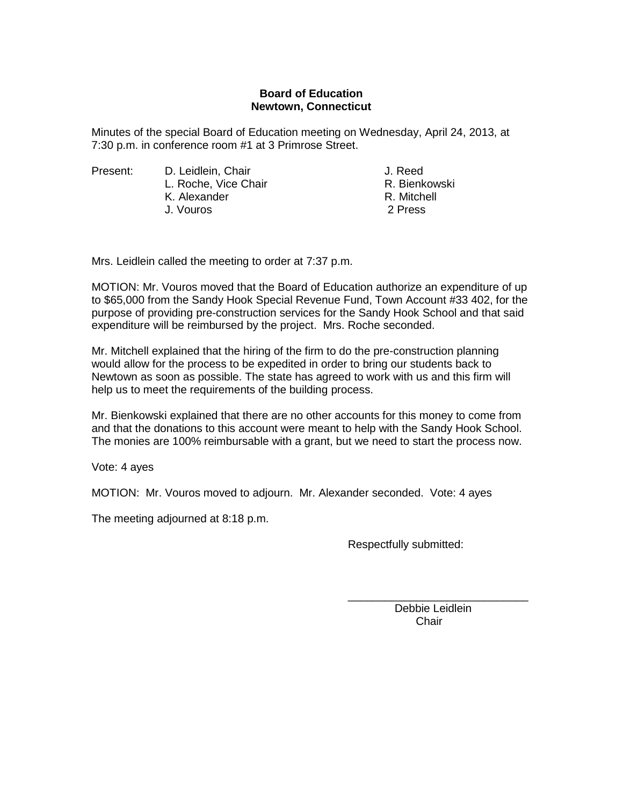### **Board of Education Newtown, Connecticut**

Minutes of the special Board of Education meeting on Wednesday, April 24, 2013, at 7:30 p.m. in conference room #1 at 3 Primrose Street.

Present: D. Leidlein, Chair J. Reed L. Roche, Vice Chair **R. Bienkowski** K. Alexander R. Mitchell J. Vouros 2 Press

Mrs. Leidlein called the meeting to order at 7:37 p.m.

MOTION: Mr. Vouros moved that the Board of Education authorize an expenditure of up to \$65,000 from the Sandy Hook Special Revenue Fund, Town Account #33 402, for the purpose of providing pre-construction services for the Sandy Hook School and that said expenditure will be reimbursed by the project. Mrs. Roche seconded.

Mr. Mitchell explained that the hiring of the firm to do the pre-construction planning would allow for the process to be expedited in order to bring our students back to Newtown as soon as possible. The state has agreed to work with us and this firm will help us to meet the requirements of the building process.

Mr. Bienkowski explained that there are no other accounts for this money to come from and that the donations to this account were meant to help with the Sandy Hook School. The monies are 100% reimbursable with a grant, but we need to start the process now.

Vote: 4 ayes

MOTION: Mr. Vouros moved to adjourn. Mr. Alexander seconded. Vote: 4 ayes

The meeting adjourned at 8:18 p.m.

Respectfully submitted:

\_\_\_\_\_\_\_\_\_\_\_\_\_\_\_\_\_\_\_\_\_\_\_\_\_\_\_\_\_ Debbie Leidlein Chair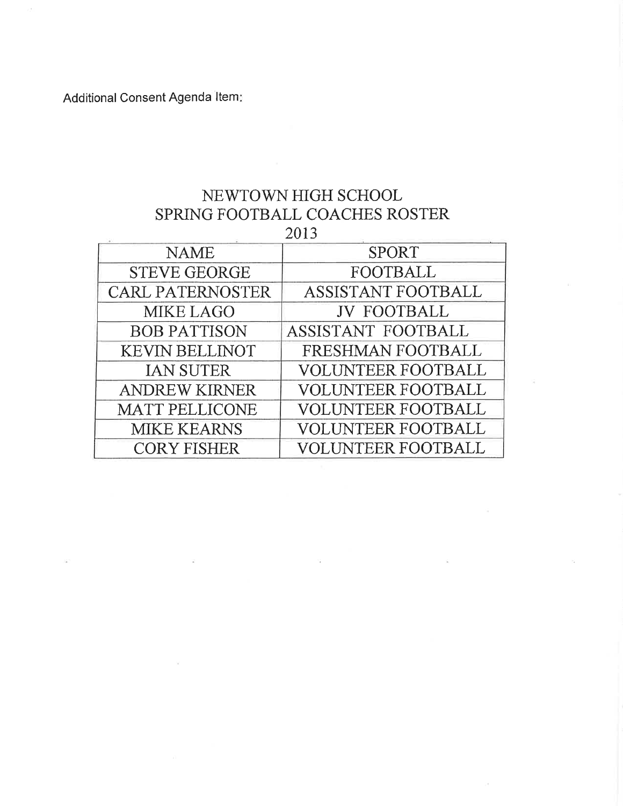Additional Consent Agenda Item:

# NEWTOWN HIGH SCHOOL SPRING FOOTBALL COACHES ROSTER 2013

| <b>NAME</b>             | <b>SPORT</b>              |
|-------------------------|---------------------------|
| <b>STEVE GEORGE</b>     | <b>FOOTBALL</b>           |
| <b>CARL PATERNOSTER</b> | ASSISTANT FOOTBALL        |
| <b>MIKE LAGO</b>        | <b>JV FOOTBALL</b>        |
| <b>BOB PATTISON</b>     | ASSISTANT FOOTBALL        |
| <b>KEVIN BELLINOT</b>   | FRESHMAN FOOTBALL         |
| <b>IAN SUTER</b>        | <b>VOLUNTEER FOOTBALL</b> |
| <b>ANDREW KIRNER</b>    | <b>VOLUNTEER FOOTBALL</b> |
| <b>MATT PELLICONE</b>   | <b>VOLUNTEER FOOTBALL</b> |
| <b>MIKE KEARNS</b>      | <b>VOLUNTEER FOOTBALL</b> |
| <b>CORY FISHER</b>      | <b>VOLUNTEER FOOTBALL</b> |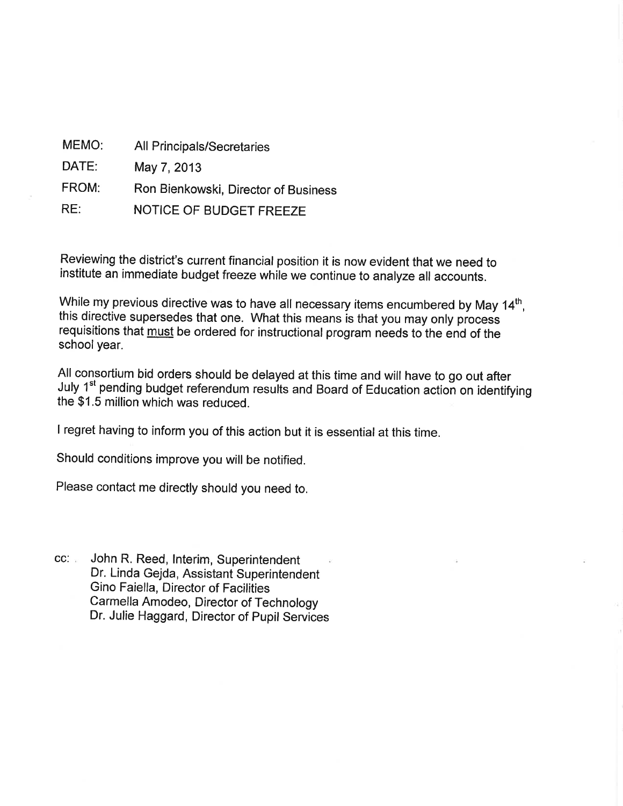| MEMO: | <b>All Principals/Secretaries</b>    |
|-------|--------------------------------------|
| DATE: | May 7, 2013                          |
| FROM: | Ron Bienkowski, Director of Business |
| RE:   | NOTICE OF BUDGET FREEZE              |

Reviewing the district's current financial position it is now evident that we need to institute an immediate budget freeze while we continue to analyze all accounts.

While my previous directive was to have all necessary items encumbered by May 14th. this directive supersedes that one. What this means is that you may only process requisitions that must be ordered for instructional program needs to the end of the school year.

All consortium bid orders should be delayed at this time and will have to go out after July 1<sup>st</sup> pending budget referendum results and Board of Education action on identifying the \$1.5 million which was reduced.

I regret having to inform you of this action but it is essential at this time.

Should conditions improve you will be notified.

Please contact me directly should you need to.

CC: John R. Reed, Interim, Superintendent Dr. Linda Gejda, Assistant Superintendent Gino Faiella, Director of Facilities Carmella Amodeo, Director of Technology Dr. Julie Haggard, Director of Pupil Services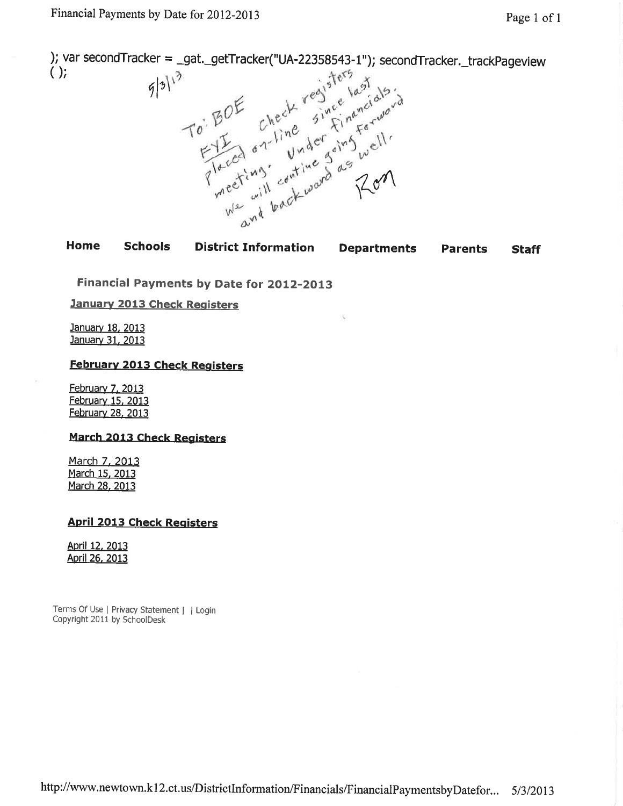); var secondTracker = \_gat.\_getTracker("UA-22358543-1"); secondTracker.\_trackPageview  $()$ 





Financial Payments by Date for 2012-2013

**January 2013 Check Registers** 

January 18, 2013 January 31, 2013

#### **February 2013 Check Registers**

**February 7, 2013** February 15, 2013 February 28, 2013

#### **March 2013 Check Registers**

March 7, 2013 March 15, 2013 March 28, 2013

### **April 2013 Check Registers**

April 12, 2013 April 26, 2013

Terms Of Use | Privacy Statement | | Login Copyright 2011 by SchoolDesk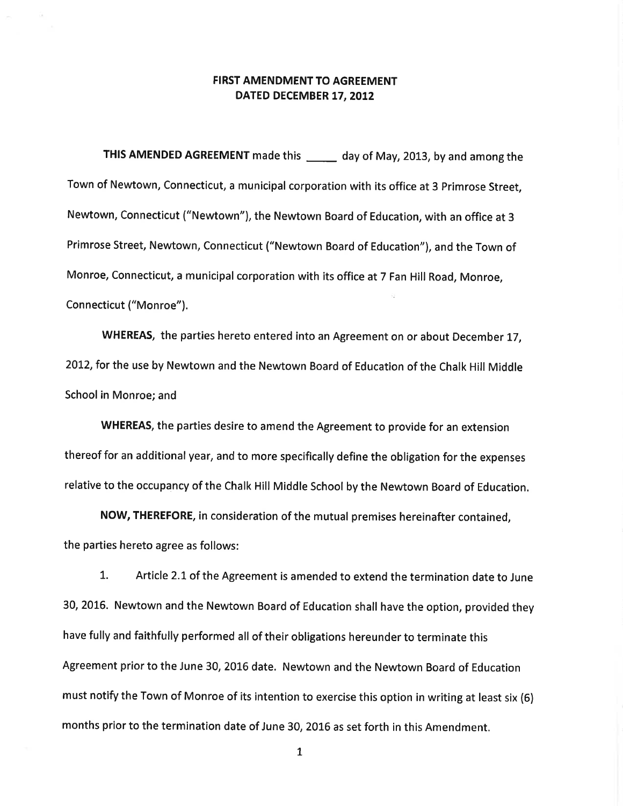### **FIRST AMENDMENT TO AGREEMENT** DATED DECEMBER 17, 2012

THIS AMENDED AGREEMENT made this \_\_\_\_\_\_ day of May, 2013, by and among the Town of Newtown, Connecticut, a municipal corporation with its office at 3 Primrose Street, Newtown, Connecticut ("Newtown"), the Newtown Board of Education, with an office at 3 Primrose Street, Newtown, Connecticut ("Newtown Board of Education"), and the Town of Monroe, Connecticut, a municipal corporation with its office at 7 Fan Hill Road, Monroe, Connecticut ("Monroe").

WHEREAS, the parties hereto entered into an Agreement on or about December 17, 2012, for the use by Newtown and the Newtown Board of Education of the Chalk Hill Middle School in Monroe; and

WHEREAS, the parties desire to amend the Agreement to provide for an extension thereof for an additional year, and to more specifically define the obligation for the expenses relative to the occupancy of the Chalk Hill Middle School by the Newtown Board of Education.

NOW, THEREFORE, in consideration of the mutual premises hereinafter contained, the parties hereto agree as follows:

1. Article 2.1 of the Agreement is amended to extend the termination date to June 30, 2016. Newtown and the Newtown Board of Education shall have the option, provided they have fully and faithfully performed all of their obligations hereunder to terminate this Agreement prior to the June 30, 2016 date. Newtown and the Newtown Board of Education must notify the Town of Monroe of its intention to exercise this option in writing at least six (6) months prior to the termination date of June 30, 2016 as set forth in this Amendment.

 $\mathbf{1}$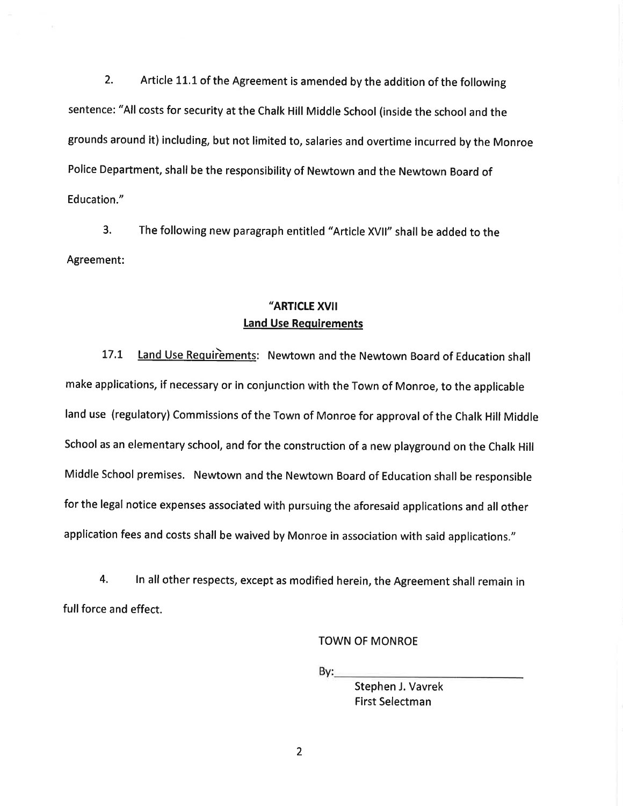$2.$ Article 11.1 of the Agreement is amended by the addition of the following sentence: "All costs for security at the Chalk Hill Middle School (inside the school and the grounds around it) including, but not limited to, salaries and overtime incurred by the Monroe Police Department, shall be the responsibility of Newtown and the Newtown Board of Education."

 $3.$ The following new paragraph entitled "Article XVII" shall be added to the Agreement:

# "ARTICLE XVII **Land Use Requirements**

Land Use Requirements: Newtown and the Newtown Board of Education shall  $17.1$ make applications, if necessary or in conjunction with the Town of Monroe, to the applicable land use (regulatory) Commissions of the Town of Monroe for approval of the Chalk Hill Middle School as an elementary school, and for the construction of a new playground on the Chalk Hill Middle School premises. Newtown and the Newtown Board of Education shall be responsible for the legal notice expenses associated with pursuing the aforesaid applications and all other application fees and costs shall be waived by Monroe in association with said applications."

4. In all other respects, except as modified herein, the Agreement shall remain in full force and effect.

**TOWN OF MONROE** 

By:

Stephen J. Vavrek **First Selectman** 

 $\overline{2}$